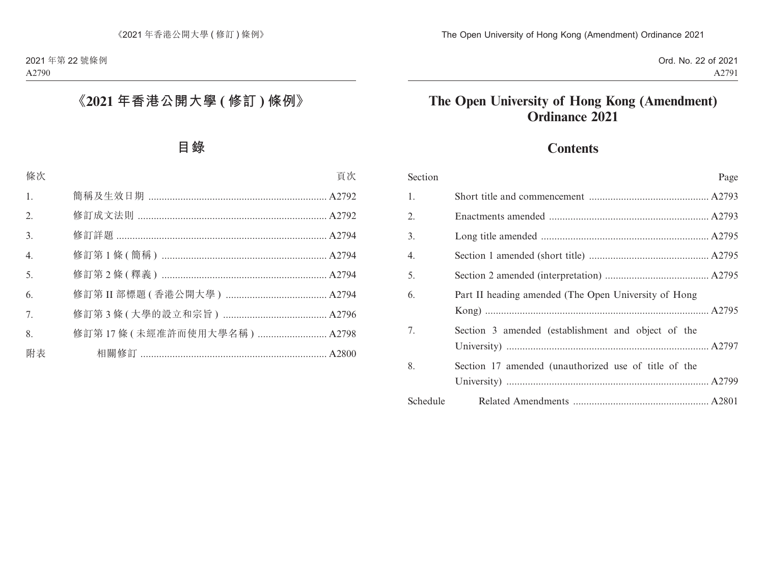## **Contents**

| Section  | Page                                                 |
|----------|------------------------------------------------------|
| 1.       |                                                      |
| 2.       |                                                      |
| 3.       |                                                      |
| 4.       |                                                      |
| 5.       |                                                      |
| 6.       | Part II heading amended (The Open University of Hong |
| 7.       | Section 3 amended (establishment and object of the   |
| 8.       | Section 17 amended (unauthorized use of title of the |
| Schedule |                                                      |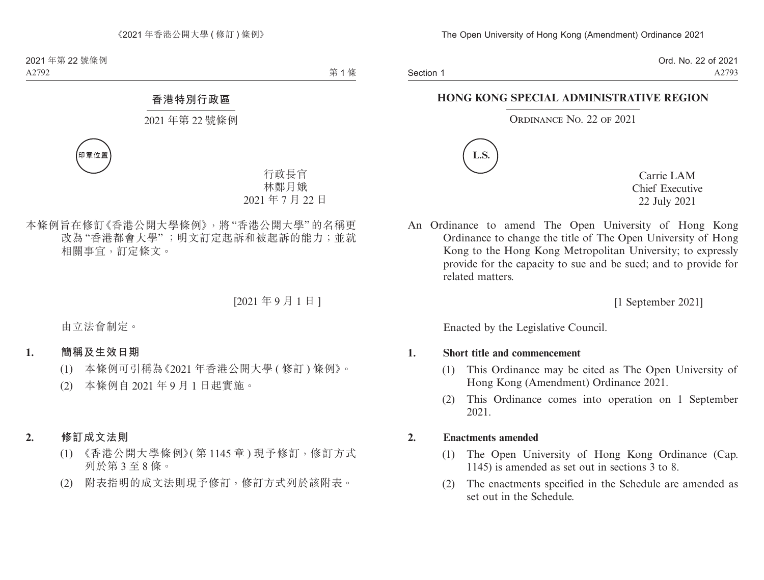Section 1

Ord. No. 22 of 2021 A2793

### **HONG KONG SPECIAL ADMINISTRATIVE REGION**

### ORDINANCE NO. 22 OF 2021



Carrie LAM Chief Executive 22 July 2021

An Ordinance to amend The Open University of Hong Kong Ordinance to change the title of The Open University of Hong Kong to the Hong Kong Metropolitan University; to expressly provide for the capacity to sue and be sued; and to provide for related matters.

[1 September 2021]

Enacted by the Legislative Council.

### **1. Short title and commencement**

- (1) This Ordinance may be cited as The Open University of Hong Kong (Amendment) Ordinance 2021.
- (2) This Ordinance comes into operation on 1 September 2021.

### **2. Enactments amended**

- (1) The Open University of Hong Kong Ordinance (Cap. 1145) is amended as set out in sections 3 to 8.
- (2) The enactments specified in the Schedule are amended as set out in the Schedule.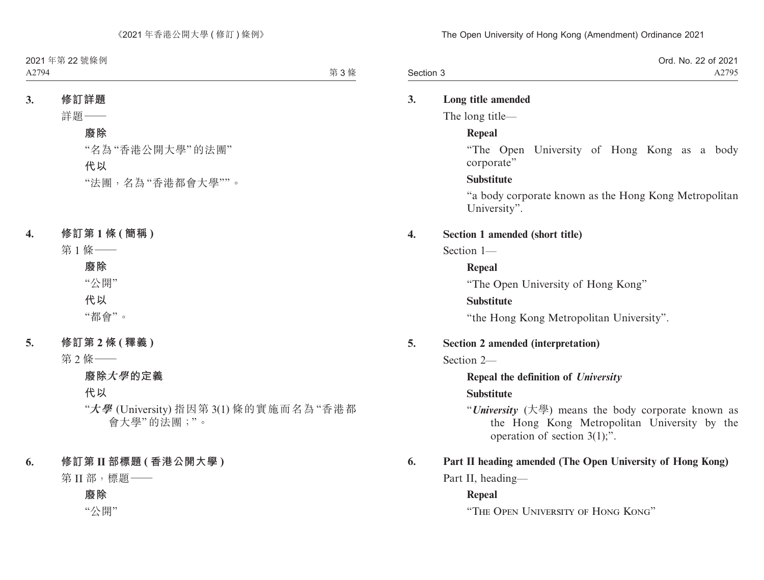|           | Ord. No. 22 of 2021 |
|-----------|---------------------|
| Section 3 | A2795               |

#### **3. Long title amended**

The long title—

#### **Repeal**

"The Open University of Hong Kong as a body corporate"

#### **Substitute**

"a body corporate known as the Hong Kong Metropolitan University".

#### **4. Section 1 amended (short title)**

Section 1—

#### **Repeal**

"The Open University of Hong Kong"

#### **Substitute**

"the Hong Kong Metropolitan University".

#### **5. Section 2 amended (interpretation)**

Section 2—

#### **Repeal the definition of** *University*

#### **Substitute**

"*University* (大學) means the body corporate known as the Hong Kong Metropolitan University by the operation of section 3(1);".

### **6. Part II heading amended (The Open University of Hong Kong)**

Part II, heading—

#### **Repeal**

"The Open University of Hong Kong"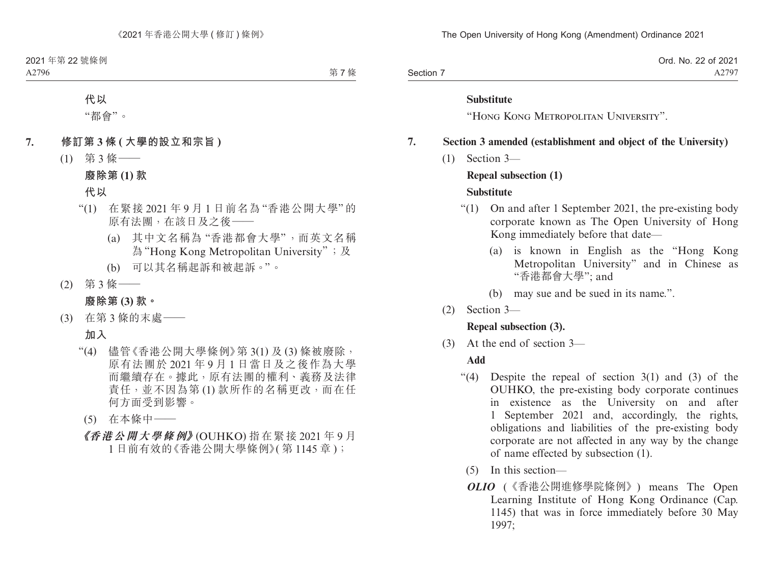|           | Ord. No. 22 of 2021 |
|-----------|---------------------|
| Section 7 | A2797               |

#### **Substitute**

"Hong Kong Metropolitan University".

#### **7. Section 3 amended (establishment and object of the University)**

(1) Section 3—

#### **Repeal subsection (1)**

#### **Substitute**

- "(1) On and after 1 September 2021, the pre-existing body corporate known as The Open University of Hong Kong immediately before that date—
	- (a) is known in English as the "Hong Kong Metropolitan University" and in Chinese as "香港都會大學"; and
	- (b) may sue and be sued in its name.".
- (2) Section 3—

#### **Repeal subsection (3).**

(3) At the end of section 3—

#### **Add**

- "(4) Despite the repeal of section  $3(1)$  and  $(3)$  of the OUHKO, the pre-existing body corporate continues in existence as the University on and after 1 September 2021 and, accordingly, the rights, obligations and liabilities of the pre-existing body corporate are not affected in any way by the change of name effected by subsection (1).
	- (5) In this section—
	- *OLIO* (《香港公開進修學院條例》) means The Open Learning Institute of Hong Kong Ordinance (Cap. 1145) that was in force immediately before 30 May 1997;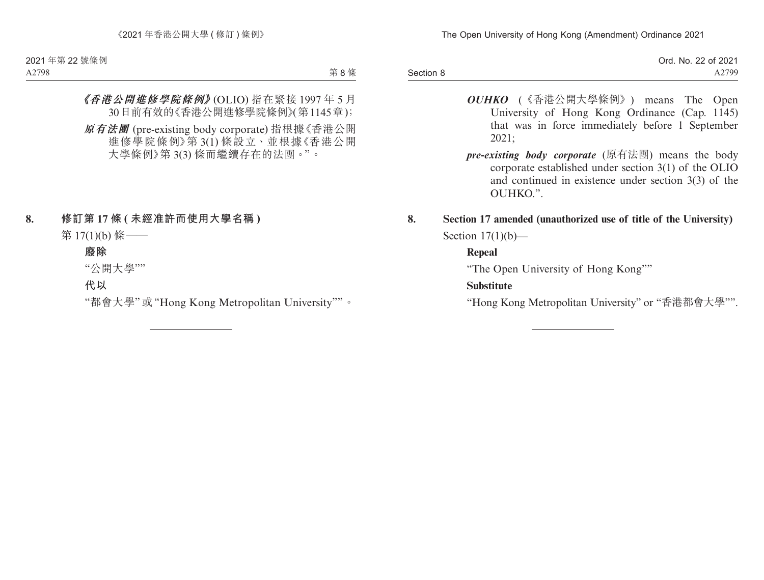|           | Ord. No. 22 of 2021 |
|-----------|---------------------|
| Section 8 | A2799               |

- *OUHKO* (《香港公開大學條例》) means The Open University of Hong Kong Ordinance (Cap. 1145) that was in force immediately before 1 September 2021;
- *pre-existing body corporate* (原有法團) means the body corporate established under section 3(1) of the OLIO and continued in existence under section 3(3) of the OUHKO.".

## **8. Section 17 amended (unauthorized use of title of the University)** Section  $17(1)(b)$ —

## **Repeal**

"The Open University of Hong Kong""

## **Substitute**

"Hong Kong Metropolitan University" or "香港都會大學"".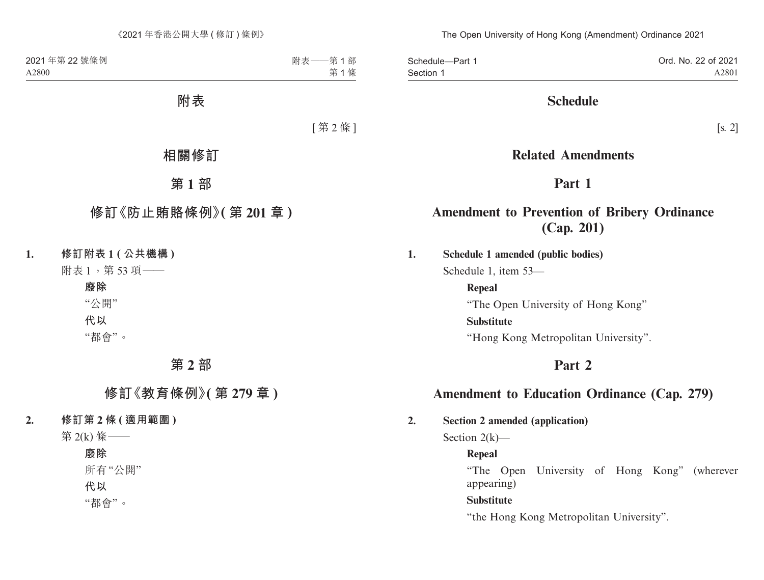Ord. No. 22 of 2021 A2801 Schedule—Part 1 Section 1

## **Schedule**

[s. 2]

## **Related Amendments**

# **Part 1**

# **Amendment to Prevention of Bribery Ordinance (Cap. 201)**

**1. Schedule 1 amended (public bodies)**

Schedule 1, item 53—

**Repeal** "The Open University of Hong Kong" **Substitute** "Hong Kong Metropolitan University".

# **Part 2**

# **Amendment to Education Ordinance (Cap. 279)**

**2. Section 2 amended (application)**

Section  $2(k)$ —

## **Repeal**

"The Open University of Hong Kong" (wherever appearing)

## **Substitute**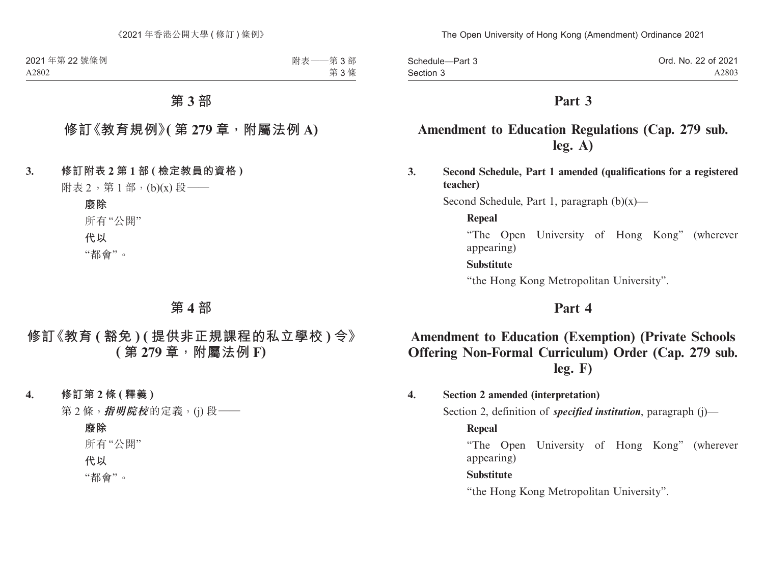| Schedule-Part 3 | Ord. No. 22 of 2021 |
|-----------------|---------------------|
| Section 3       | A2803               |

## **Amendment to Education Regulations (Cap. 279 sub. leg. A)**

**3. Second Schedule, Part 1 amended (qualifications for a registered teacher)**

Second Schedule, Part 1, paragraph  $(b)(x)$ —

#### **Repeal**

"The Open University of Hong Kong" (wherever appearing)

### **Substitute**

"the Hong Kong Metropolitan University".

## **Part 4**

# **Amendment to Education (Exemption) (Private Schools Offering Non-Formal Curriculum) Order (Cap. 279 sub. leg. F)**

### **4. Section 2 amended (interpretation)**

Section 2, definition of *specified institution*, paragraph (j)—

#### **Repeal**

"The Open University of Hong Kong" (wherever appearing)

#### **Substitute**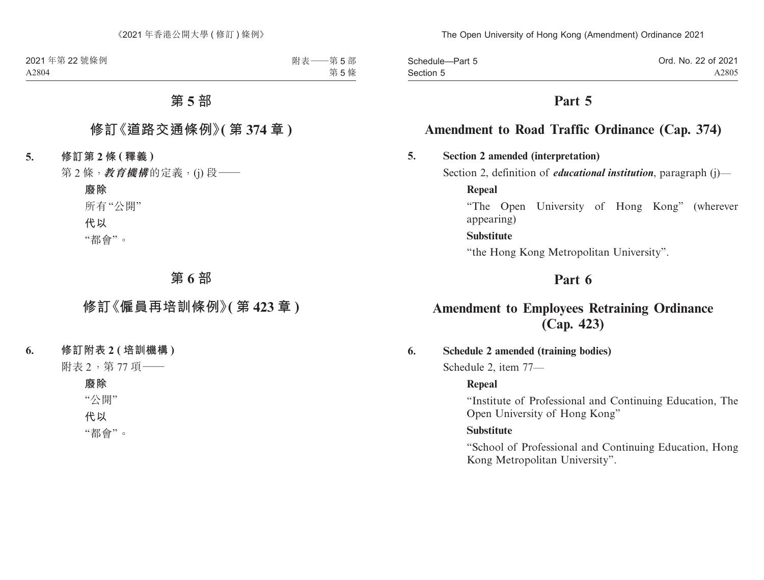| Schedule-Part 5 | Ord. No. 22 of 2021 |
|-----------------|---------------------|
| Section 5       | A2805               |

## **Amendment to Road Traffic Ordinance (Cap. 374)**

### **5. Section 2 amended (interpretation)**

Section 2, definition of *educational institution*, paragraph (j)—

**Repeal**

"The Open University of Hong Kong" (wherever appearing)

#### **Substitute**

"the Hong Kong Metropolitan University".

## **Part 6**

## **Amendment to Employees Retraining Ordinance (Cap. 423)**

#### **6. Schedule 2 amended (training bodies)**

Schedule 2, item 77—

#### **Repeal**

"Institute of Professional and Continuing Education, The Open University of Hong Kong"

#### **Substitute**

"School of Professional and Continuing Education, Hong Kong Metropolitan University".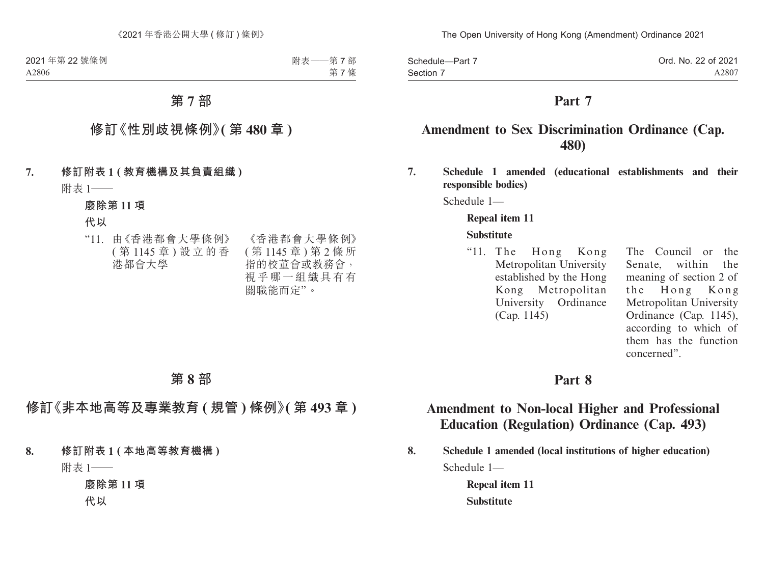| Schedule-Part 7 | Ord. No. 22 of 2021 |
|-----------------|---------------------|
| Section 7       | A2807               |

## **Amendment to Sex Discrimination Ordinance (Cap. 480)**

**7. Schedule 1 amended (educational establishments and their responsible bodies)**

Schedule 1—

#### **Repeal item 11**

#### **Substitute**

"11. The Hong Kong Metropolitan University established by the Hong Kong Metropolitan University Ordinance (Cap. 1145)

The Council or the Senate, within the meaning of section 2 of the Hong Kong Metropolitan University Ordinance (Cap. 1145), according to which of them has the function concerned".

### **Part 8**

## **Amendment to Non-local Higher and Professional Education (Regulation) Ordinance (Cap. 493)**

**8. Schedule 1 amended (local institutions of higher education)** Schedule 1—

> **Repeal item 11 Substitute**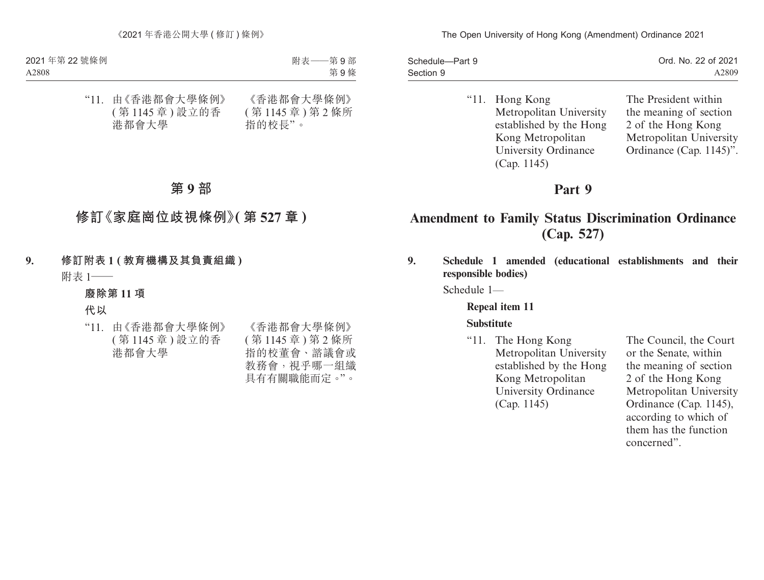| Schedule-Part 9 | Ord. No. 22 of 2021 |
|-----------------|---------------------|
| Section 9       | A2809               |

"11. Hong Kong Metropolitan University established by the Hong Kong Metropolitan University Ordinance (Cap. 1145)

The President within the meaning of section 2 of the Hong Kong Metropolitan University Ordinance (Cap. 1145)".

## **Part 9**

# **Amendment to Family Status Discrimination Ordinance (Cap. 527)**

**9. Schedule 1 amended (educational establishments and their responsible bodies)**

Schedule 1—

**Repeal item 11**

### **Substitute**

"11. The Hong Kong Metropolitan University established by the Hong Kong Metropolitan University Ordinance (Cap. 1145)

The Council, the Court or the Senate, within the meaning of section 2 of the Hong Kong Metropolitan University Ordinance (Cap. 1145), according to which of them has the function concerned".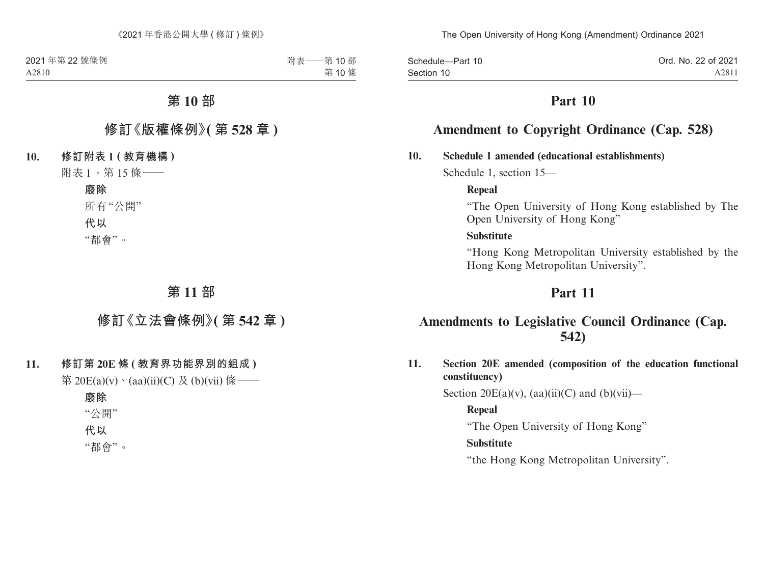Ord. No. 22 of 2021 A2811 Schedule—Part 10 Section 10

## **Part 10**

## **Amendment to Copyright Ordinance (Cap. 528)**

#### **10. Schedule 1 amended (educational establishments)**

Schedule 1, section 15—

#### **Repeal**

"The Open University of Hong Kong established by The Open University of Hong Kong"

#### **Substitute**

"Hong Kong Metropolitan University established by the Hong Kong Metropolitan University".

## **Part 11**

## **Amendments to Legislative Council Ordinance (Cap. 542)**

**11. Section 20E amended (composition of the education functional constituency)**

Section  $20E(a)(v)$ ,  $(aa)(ii)(C)$  and  $(b)(vii)$ —

#### **Repeal**

"The Open University of Hong Kong"

#### **Substitute**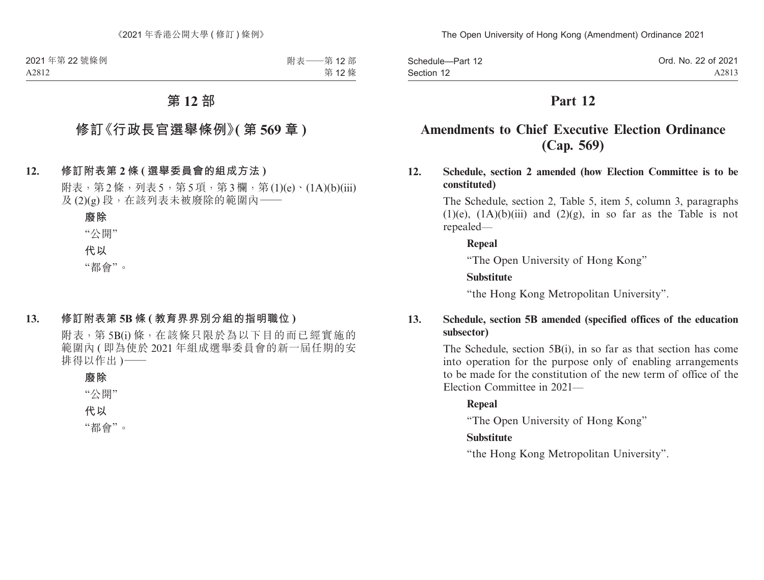Ord. No. 22 of 2021 A2813 Schedule—Part 12 Section 12

## **Part 12**

# **Amendments to Chief Executive Election Ordinance (Cap. 569)**

**12. Schedule, section 2 amended (how Election Committee is to be constituted)**

> The Schedule, section 2, Table 5, item 5, column 3, paragraphs  $(1)(e)$ ,  $(1A)(b)(iii)$  and  $(2)(g)$ , in so far as the Table is not repealed—

### **Repeal**

"The Open University of Hong Kong"

### **Substitute**

"the Hong Kong Metropolitan University".

### **13. Schedule, section 5B amended (specified offices of the education subsector)**

The Schedule, section 5B(i), in so far as that section has come into operation for the purpose only of enabling arrangements to be made for the constitution of the new term of office of the Election Committee in 2021—

## **Repeal**

"The Open University of Hong Kong"

## **Substitute**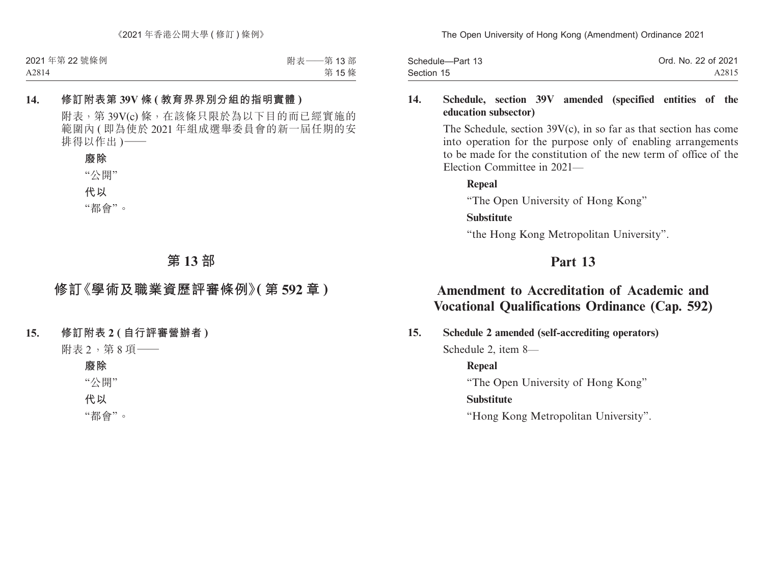| Schedule-Part 13 | Ord. No. 22 of 2021 |
|------------------|---------------------|
| Section 15       | A2815               |

### **14. Schedule, section 39V amended (specified entities of the education subsector)**

The Schedule, section 39V(c), in so far as that section has come into operation for the purpose only of enabling arrangements to be made for the constitution of the new term of office of the Election Committee in 2021—

"The Open University of Hong Kong"

#### **Substitute**

**Repeal**

"the Hong Kong Metropolitan University".

# **Part 13**

# **Amendment to Accreditation of Academic and Vocational Qualifications Ordinance (Cap. 592)**

**15. Schedule 2 amended (self-accrediting operators)**

Schedule 2, item 8—

## **Repeal**

"The Open University of Hong Kong"

### **Substitute**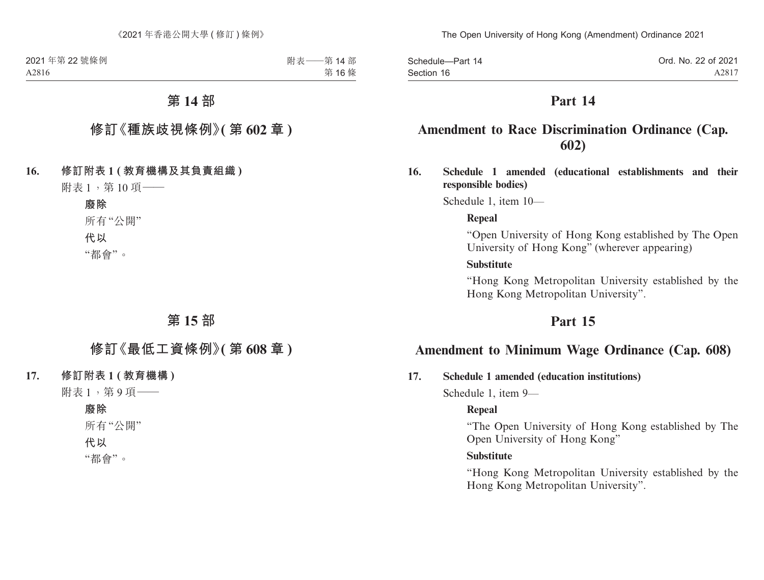| Schedule-Part 14 | Ord. No. 22 of 2021 |
|------------------|---------------------|
| Section 16       | A2817               |

## **Amendment to Race Discrimination Ordinance (Cap. 602)**

**16. Schedule 1 amended (educational establishments and their responsible bodies)**

Schedule 1, item 10—

#### **Repeal**

"Open University of Hong Kong established by The Open University of Hong Kong" (wherever appearing)

### **Substitute**

"Hong Kong Metropolitan University established by the Hong Kong Metropolitan University".

## **Part 15**

## **Amendment to Minimum Wage Ordinance (Cap. 608)**

#### **17. Schedule 1 amended (education institutions)**

Schedule 1, item 9—

#### **Repeal**

"The Open University of Hong Kong established by The Open University of Hong Kong"

### **Substitute**

"Hong Kong Metropolitan University established by the Hong Kong Metropolitan University".